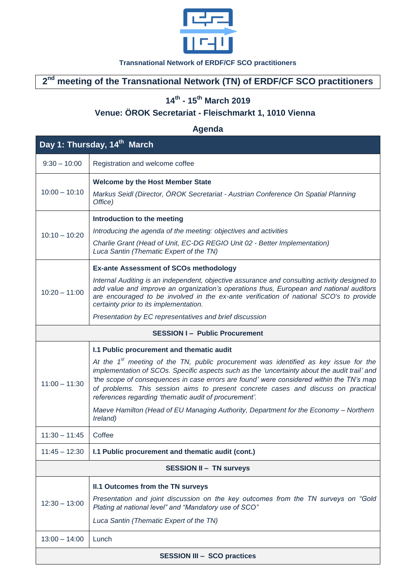

#### **Transnational Network of ERDF/CF SCO practitioners**

# **2 nd meeting of the Transnational Network (TN) of ERDF/CF SCO practitioners**

### **14th - 15th March 2019**

# **Venue: ÖROK Secretariat - Fleischmarkt 1, 1010 Vienna**

## **Agenda**

| Day 1: Thursday, 14 <sup>th</sup> March |                                                                                                                                                                                                                                                                                                                                                                                                                                            |  |
|-----------------------------------------|--------------------------------------------------------------------------------------------------------------------------------------------------------------------------------------------------------------------------------------------------------------------------------------------------------------------------------------------------------------------------------------------------------------------------------------------|--|
| $9:30 - 10:00$                          | Registration and welcome coffee                                                                                                                                                                                                                                                                                                                                                                                                            |  |
| $10:00 - 10:10$                         | <b>Welcome by the Host Member State</b>                                                                                                                                                                                                                                                                                                                                                                                                    |  |
|                                         | Markus Seidl (Director, ÖROK Secretariat - Austrian Conference On Spatial Planning<br>Office)                                                                                                                                                                                                                                                                                                                                              |  |
| $10:10 - 10:20$                         | Introduction to the meeting                                                                                                                                                                                                                                                                                                                                                                                                                |  |
|                                         | Introducing the agenda of the meeting: objectives and activities                                                                                                                                                                                                                                                                                                                                                                           |  |
|                                         | Charlie Grant (Head of Unit, EC-DG REGIO Unit 02 - Better Implementation)<br>Luca Santin (Thematic Expert of the TN)                                                                                                                                                                                                                                                                                                                       |  |
| $10:20 - 11:00$                         | <b>Ex-ante Assessment of SCOs methodology</b>                                                                                                                                                                                                                                                                                                                                                                                              |  |
|                                         | Internal Auditing is an independent, objective assurance and consulting activity designed to<br>add value and improve an organization's operations thus, European and national auditors<br>are encouraged to be involved in the ex-ante verification of national SCO's to provide<br>certainty prior to its implementation.                                                                                                                |  |
|                                         | Presentation by EC representatives and brief discussion                                                                                                                                                                                                                                                                                                                                                                                    |  |
| <b>SESSION I- Public Procurement</b>    |                                                                                                                                                                                                                                                                                                                                                                                                                                            |  |
| $11:00 - 11:30$                         | I.1 Public procurement and thematic audit                                                                                                                                                                                                                                                                                                                                                                                                  |  |
|                                         | At the 1 <sup>st</sup> meeting of the TN, public procurement was identified as key issue for the<br>implementation of SCOs. Specific aspects such as the 'uncertainty about the audit trail' and<br>'the scope of consequences in case errors are found' were considered within the TN's map<br>of problems. This session aims to present concrete cases and discuss on practical<br>references regarding 'thematic audit of procurement'. |  |
|                                         | Maeve Hamilton (Head of EU Managing Authority, Department for the Economy - Northern<br>Ireland)                                                                                                                                                                                                                                                                                                                                           |  |
| $11:30 - 11:45$                         | Coffee                                                                                                                                                                                                                                                                                                                                                                                                                                     |  |
| 11:45 - 12:30                           | I.1 Public procurement and thematic audit (cont.)                                                                                                                                                                                                                                                                                                                                                                                          |  |
| <b>SESSION II - TN surveys</b>          |                                                                                                                                                                                                                                                                                                                                                                                                                                            |  |
| $12:30 - 13:00$                         | II.1 Outcomes from the TN surveys                                                                                                                                                                                                                                                                                                                                                                                                          |  |
|                                         | Presentation and joint discussion on the key outcomes from the TN surveys on "Gold<br>Plating at national level" and "Mandatory use of SCO"                                                                                                                                                                                                                                                                                                |  |
|                                         | Luca Santin (Thematic Expert of the TN)                                                                                                                                                                                                                                                                                                                                                                                                    |  |
| $13:00 - 14:00$                         | Lunch                                                                                                                                                                                                                                                                                                                                                                                                                                      |  |
| <b>SESSION III - SCO practices</b>      |                                                                                                                                                                                                                                                                                                                                                                                                                                            |  |